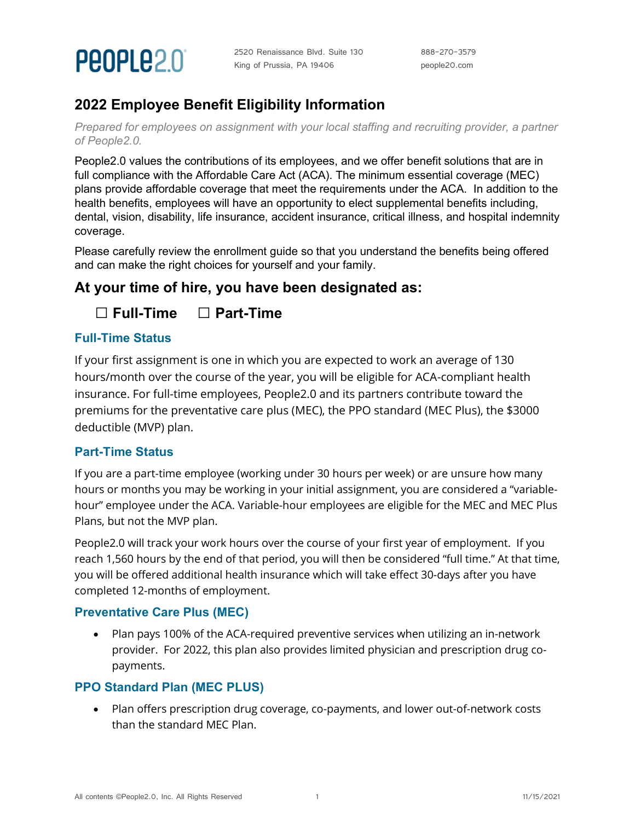

## **2022 Employee Benefit Eligibility Information**

*Prepared for employees on assignment with your local staffing and recruiting provider, a partner of People2.0.*

People2.0 values the contributions of its employees, and we offer benefit solutions that are in full compliance with the Affordable Care Act (ACA). The minimum essential coverage (MEC) plans provide affordable coverage that meet the requirements under the ACA. In addition to the health benefits, employees will have an opportunity to elect supplemental benefits including, dental, vision, disability, life insurance, accident insurance, critical illness, and hospital indemnity coverage.

Please carefully review the enrollment guide so that you understand the benefits being offered and can make the right choices for yourself and your family.

### **At your time of hire, you have been designated as:**

 **□ Full-Time □ Part-Time**

#### **Full-Time Status**

If your first assignment is one in which you are expected to work an average of 130 hours/month over the course of the year, you will be eligible for ACA-compliant health insurance. For full-time employees, People2.0 and its partners contribute toward the premiums for the preventative care plus (MEC), the PPO standard (MEC Plus), the \$3000 deductible (MVP) plan.

#### **Part-Time Status**

If you are a part-time employee (working under 30 hours per week) or are unsure how many hours or months you may be working in your initial assignment, you are considered a "variablehour" employee under the ACA. Variable-hour employees are eligible for the MEC and MEC Plus Plans, but not the MVP plan.

People2.0 will track your work hours over the course of your first year of employment. If you reach 1,560 hours by the end of that period, you will then be considered "full time." At that time, you will be offered additional health insurance which will take effect 30-days after you have completed 12-months of employment.

#### **Preventative Care Plus (MEC)**

• Plan pays 100% of the ACA-required preventive services when utilizing an in-network provider. For 2022, this plan also provides limited physician and prescription drug copayments.

#### **PPO Standard Plan (MEC PLUS)**

• Plan offers prescription drug coverage, co-payments, and lower out-of-network costs than the standard MEC Plan.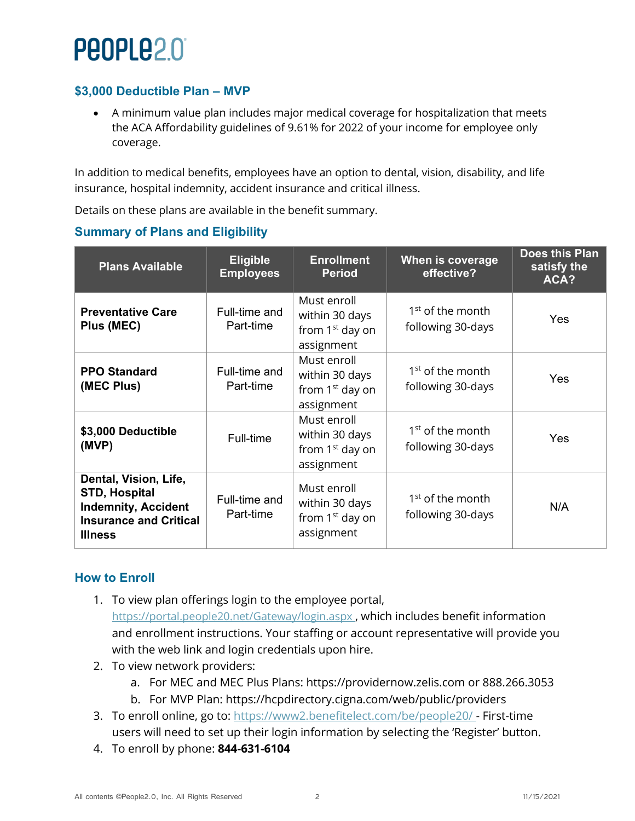# People2.0

#### **\$3,000 Deductible Plan – MVP**

• A minimum value plan includes major medical coverage for hospitalization that meets the ACA Affordability guidelines of 9.61% for 2022 of your income for employee only coverage.

In addition to medical benefits, employees have an option to dental, vision, disability, and life insurance, hospital indemnity, accident insurance and critical illness.

Details on these plans are available in the benefit summary.

#### **Summary of Plans and Eligibility**

| <b>Plans Available</b>                                                                                                         | <b>Eligible</b><br><b>Employees</b> | <b>Enrollment</b><br><b>Period</b>                                         | When is coverage<br>effective?                    | <b>Does this Plan</b><br>satisfy the<br>ACA? |
|--------------------------------------------------------------------------------------------------------------------------------|-------------------------------------|----------------------------------------------------------------------------|---------------------------------------------------|----------------------------------------------|
| <b>Preventative Care</b><br>Plus (MEC)                                                                                         | Full-time and<br>Part-time          | Must enroll<br>within 30 days<br>from 1 <sup>st</sup> day on<br>assignment | 1 <sup>st</sup> of the month<br>following 30-days | Yes                                          |
| <b>PPO Standard</b><br>(MEC Plus)                                                                                              | Full-time and<br>Part-time          | Must enroll<br>within 30 days<br>from 1 <sup>st</sup> day on<br>assignment | 1 <sup>st</sup> of the month<br>following 30-days | Yes                                          |
| \$3,000 Deductible<br>(MVP)                                                                                                    | Full-time                           | Must enroll<br>within 30 days<br>from 1 <sup>st</sup> day on<br>assignment | 1 <sup>st</sup> of the month<br>following 30-days | Yes                                          |
| Dental, Vision, Life,<br><b>STD, Hospital</b><br><b>Indemnity, Accident</b><br><b>Insurance and Critical</b><br><b>Illness</b> | Full-time and<br>Part-time          | Must enroll<br>within 30 days<br>from 1 <sup>st</sup> day on<br>assignment | 1 <sup>st</sup> of the month<br>following 30-days | N/A                                          |

#### **How to Enroll**

- 1. To view plan offerings login to the employee portal, <https://portal.people20.net/Gateway/login.aspx>, which includes benefit information and enrollment instructions. Your staffing or account representative will provide you with the web link and login credentials upon hire.
- 2. To view network providers:
	- a. For MEC and MEC Plus Plans: [https://providernow.zelis.com](https://providernow.zelis.com/) or 888.266.3053
	- b. For MVP Plan:<https://hcpdirectory.cigna.com/web/public/providers>
- 3. To enroll online, go to: [https://www2.benefitelect.com/be/people20/ -](https://www2.benefitelect.com/be/people20/) First-time users will need to set up their login information by selecting the 'Register' button.
- 4. To enroll by phone: **844-631-6104**